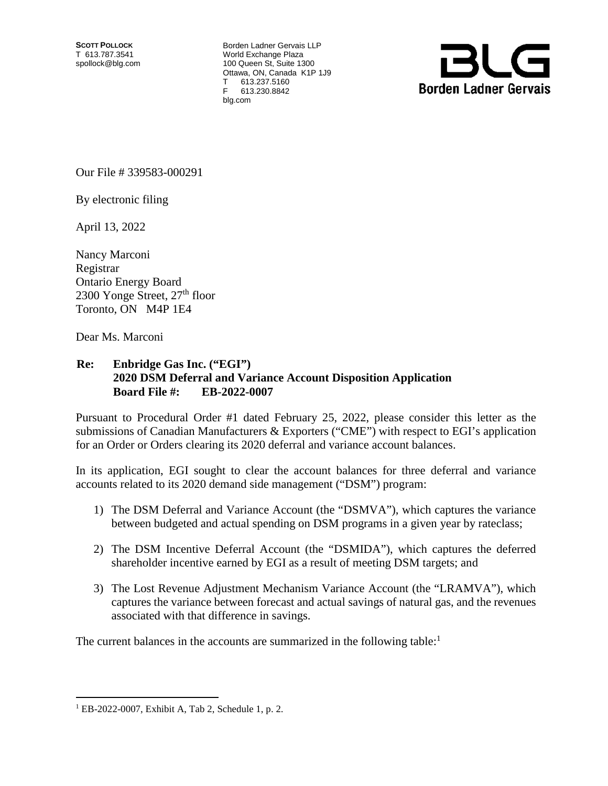**SCOTT POLLOCK** T 613.787.3541 spollock@blg.com Borden Ladner Gervais LLP World Exchange Plaza 100 Queen St, Suite 1300 Ottawa, ON, Canada K1P 1J9 T 613.237.5160 F 613.230.8842 blg.com



Our File # 339583-000291

By electronic filing

April 13, 2022

Nancy Marconi Registrar Ontario Energy Board 2300 Yonge Street,  $27<sup>th</sup>$  floor Toronto, ON M4P 1E4

Dear Ms. Marconi

## **Re: Enbridge Gas Inc. ("EGI") 2020 DSM Deferral and Variance Account Disposition Application Board File #: EB-2022-0007**

Pursuant to Procedural Order #1 dated February 25, 2022, please consider this letter as the submissions of Canadian Manufacturers & Exporters ("CME") with respect to EGI's application for an Order or Orders clearing its 2020 deferral and variance account balances.

In its application, EGI sought to clear the account balances for three deferral and variance accounts related to its 2020 demand side management ("DSM") program:

- 1) The DSM Deferral and Variance Account (the "DSMVA"), which captures the variance between budgeted and actual spending on DSM programs in a given year by rateclass;
- 2) The DSM Incentive Deferral Account (the "DSMIDA"), which captures the deferred shareholder incentive earned by EGI as a result of meeting DSM targets; and
- 3) The Lost Revenue Adjustment Mechanism Variance Account (the "LRAMVA"), which captures the variance between forecast and actual savings of natural gas, and the revenues associated with that difference in savings.

The current balances in the accounts are summarized in the following table: $<sup>1</sup>$ </sup>

1

<sup>1</sup> EB-2022-0007, Exhibit A, Tab 2, Schedule 1, p. 2.